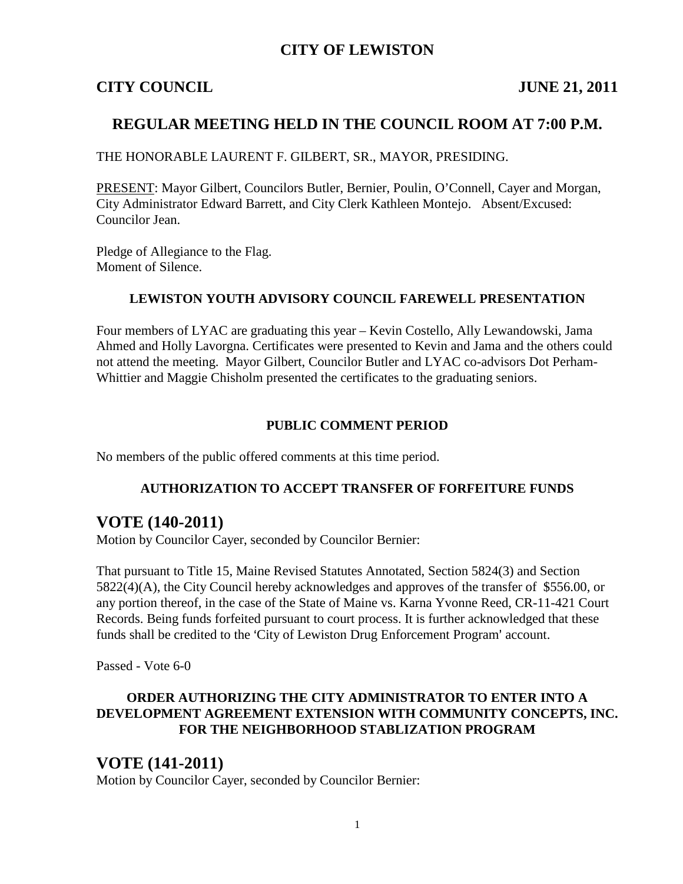### **CITY OF LEWISTON**

#### **CITY COUNCIL JUNE 21, 2011**

### **REGULAR MEETING HELD IN THE COUNCIL ROOM AT 7:00 P.M.**

THE HONORABLE LAURENT F. GILBERT, SR., MAYOR, PRESIDING.

PRESENT: Mayor Gilbert, Councilors Butler, Bernier, Poulin, O'Connell, Cayer and Morgan, City Administrator Edward Barrett, and City Clerk Kathleen Montejo. Absent/Excused: Councilor Jean.

Pledge of Allegiance to the Flag. Moment of Silence.

#### **LEWISTON YOUTH ADVISORY COUNCIL FAREWELL PRESENTATION**

Four members of LYAC are graduating this year – Kevin Costello, Ally Lewandowski, Jama Ahmed and Holly Lavorgna. Certificates were presented to Kevin and Jama and the others could not attend the meeting. Mayor Gilbert, Councilor Butler and LYAC co-advisors Dot Perham-Whittier and Maggie Chisholm presented the certificates to the graduating seniors.

#### **PUBLIC COMMENT PERIOD**

No members of the public offered comments at this time period.

#### **AUTHORIZATION TO ACCEPT TRANSFER OF FORFEITURE FUNDS**

### **VOTE (140-2011)**

Motion by Councilor Cayer, seconded by Councilor Bernier:

That pursuant to Title 15, Maine Revised Statutes Annotated, Section 5824(3) and Section 5822(4)(A), the City Council hereby acknowledges and approves of the transfer of \$556.00, or any portion thereof, in the case of the State of Maine vs. Karna Yvonne Reed, CR-11-421 Court Records. Being funds forfeited pursuant to court process. It is further acknowledged that these funds shall be credited to the 'City of Lewiston Drug Enforcement Program' account.

Passed - Vote 6-0

#### **ORDER AUTHORIZING THE CITY ADMINISTRATOR TO ENTER INTO A DEVELOPMENT AGREEMENT EXTENSION WITH COMMUNITY CONCEPTS, INC. FOR THE NEIGHBORHOOD STABLIZATION PROGRAM**

#### **VOTE (141-2011)**

Motion by Councilor Cayer, seconded by Councilor Bernier: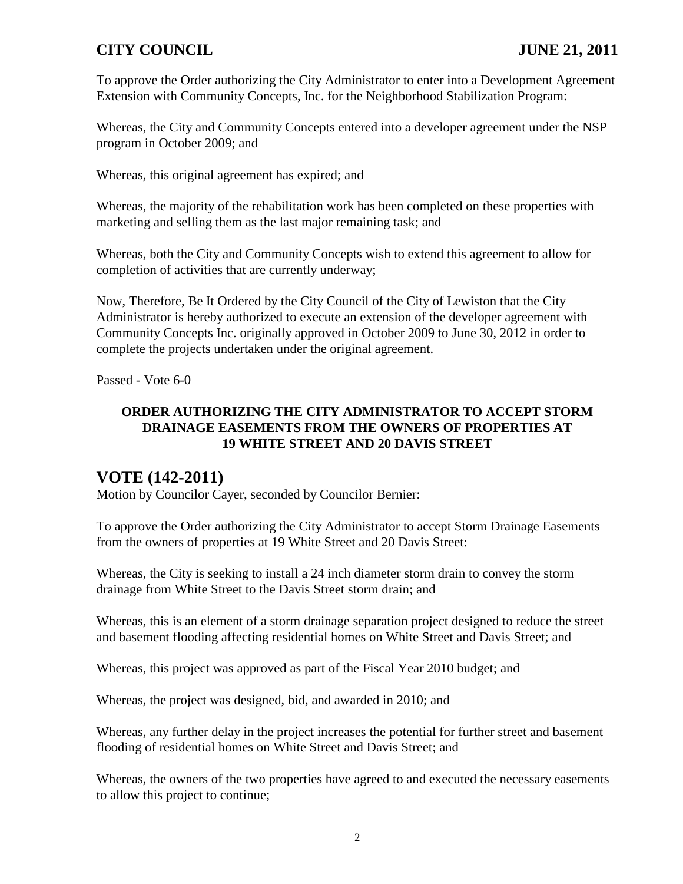To approve the Order authorizing the City Administrator to enter into a Development Agreement Extension with Community Concepts, Inc. for the Neighborhood Stabilization Program:

Whereas, the City and Community Concepts entered into a developer agreement under the NSP program in October 2009; and

Whereas, this original agreement has expired; and

Whereas, the majority of the rehabilitation work has been completed on these properties with marketing and selling them as the last major remaining task; and

Whereas, both the City and Community Concepts wish to extend this agreement to allow for completion of activities that are currently underway;

Now, Therefore, Be It Ordered by the City Council of the City of Lewiston that the City Administrator is hereby authorized to execute an extension of the developer agreement with Community Concepts Inc. originally approved in October 2009 to June 30, 2012 in order to complete the projects undertaken under the original agreement.

Passed - Vote 6-0

#### **ORDER AUTHORIZING THE CITY ADMINISTRATOR TO ACCEPT STORM DRAINAGE EASEMENTS FROM THE OWNERS OF PROPERTIES AT 19 WHITE STREET AND 20 DAVIS STREET**

## **VOTE (142-2011)**

Motion by Councilor Cayer, seconded by Councilor Bernier:

To approve the Order authorizing the City Administrator to accept Storm Drainage Easements from the owners of properties at 19 White Street and 20 Davis Street:

Whereas, the City is seeking to install a 24 inch diameter storm drain to convey the storm drainage from White Street to the Davis Street storm drain; and

Whereas, this is an element of a storm drainage separation project designed to reduce the street and basement flooding affecting residential homes on White Street and Davis Street; and

Whereas, this project was approved as part of the Fiscal Year 2010 budget; and

Whereas, the project was designed, bid, and awarded in 2010; and

Whereas, any further delay in the project increases the potential for further street and basement flooding of residential homes on White Street and Davis Street; and

Whereas, the owners of the two properties have agreed to and executed the necessary easements to allow this project to continue;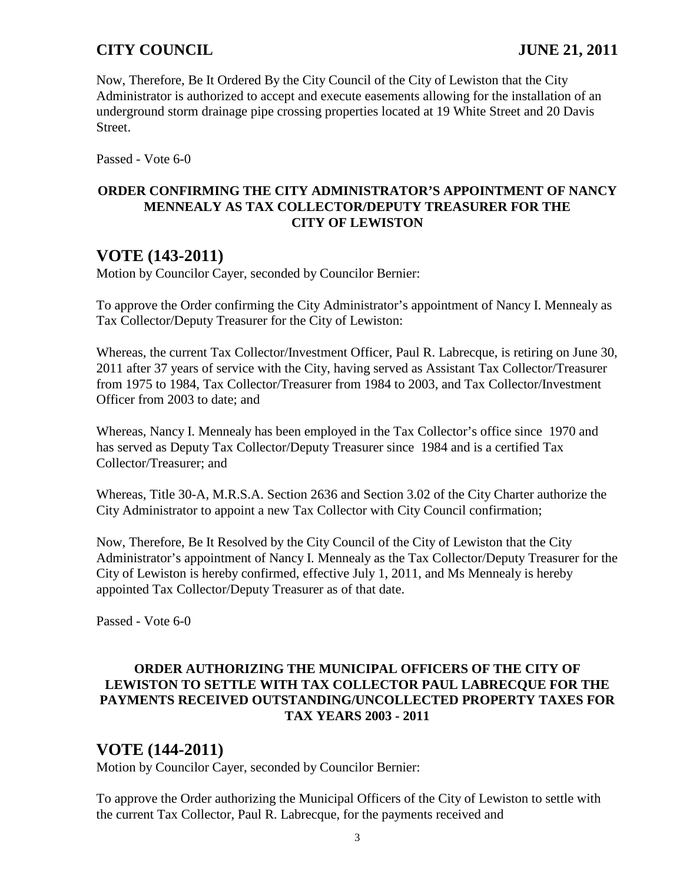Now, Therefore, Be It Ordered By the City Council of the City of Lewiston that the City Administrator is authorized to accept and execute easements allowing for the installation of an underground storm drainage pipe crossing properties located at 19 White Street and 20 Davis Street.

Passed - Vote 6-0

#### **ORDER CONFIRMING THE CITY ADMINISTRATOR'S APPOINTMENT OF NANCY MENNEALY AS TAX COLLECTOR/DEPUTY TREASURER FOR THE CITY OF LEWISTON**

## **VOTE (143-2011)**

Motion by Councilor Cayer, seconded by Councilor Bernier:

To approve the Order confirming the City Administrator's appointment of Nancy I. Mennealy as Tax Collector/Deputy Treasurer for the City of Lewiston:

Whereas, the current Tax Collector/Investment Officer, Paul R. Labrecque, is retiring on June 30, 2011 after 37 years of service with the City, having served as Assistant Tax Collector/Treasurer from 1975 to 1984, Tax Collector/Treasurer from 1984 to 2003, and Tax Collector/Investment Officer from 2003 to date; and

Whereas, Nancy I. Mennealy has been employed in the Tax Collector's office since 1970 and has served as Deputy Tax Collector/Deputy Treasurer since 1984 and is a certified Tax Collector/Treasurer; and

Whereas, Title 30-A, M.R.S.A. Section 2636 and Section 3.02 of the City Charter authorize the City Administrator to appoint a new Tax Collector with City Council confirmation;

Now, Therefore, Be It Resolved by the City Council of the City of Lewiston that the City Administrator's appointment of Nancy I. Mennealy as the Tax Collector/Deputy Treasurer for the City of Lewiston is hereby confirmed, effective July 1, 2011, and Ms Mennealy is hereby appointed Tax Collector/Deputy Treasurer as of that date.

Passed - Vote 6-0

#### **ORDER AUTHORIZING THE MUNICIPAL OFFICERS OF THE CITY OF LEWISTON TO SETTLE WITH TAX COLLECTOR PAUL LABRECQUE FOR THE PAYMENTS RECEIVED OUTSTANDING/UNCOLLECTED PROPERTY TAXES FOR TAX YEARS 2003 - 2011**

## **VOTE (144-2011)**

Motion by Councilor Cayer, seconded by Councilor Bernier:

To approve the Order authorizing the Municipal Officers of the City of Lewiston to settle with the current Tax Collector, Paul R. Labrecque, for the payments received and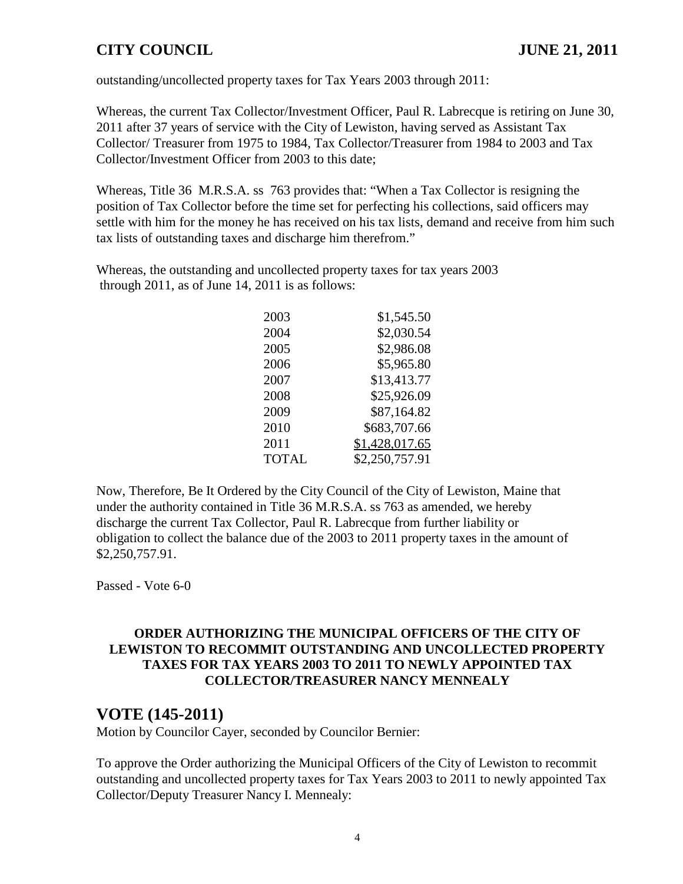outstanding/uncollected property taxes for Tax Years 2003 through 2011:

Whereas, the current Tax Collector/Investment Officer, Paul R. Labrecque is retiring on June 30, 2011 after 37 years of service with the City of Lewiston, having served as Assistant Tax Collector/ Treasurer from 1975 to 1984, Tax Collector/Treasurer from 1984 to 2003 and Tax Collector/Investment Officer from 2003 to this date;

Whereas, Title 36 M.R.S.A. ss763 provides that: "When a Tax Collector is resigning the position of Tax Collector before the time set for perfecting his collections, said officers may settle with him for the money he has received on his tax lists, demand and receive from him such tax lists of outstanding taxes and discharge him therefrom."

Whereas, the outstanding and uncollected property taxes for tax years 2003 through 2011, as of June 14, 2011 is as follows:

| 2003         | \$1,545.50     |
|--------------|----------------|
| 2004         | \$2,030.54     |
| 2005         | \$2,986.08     |
| 2006         | \$5,965.80     |
| 2007         | \$13,413.77    |
| 2008         | \$25,926.09    |
| 2009         | \$87,164.82    |
| 2010         | \$683,707.66   |
| 2011         | \$1,428,017.65 |
| <b>TOTAL</b> | \$2,250,757.91 |

Now, Therefore, Be It Ordered by the City Council of the City of Lewiston, Maine that under the authority contained in Title 36 M.R.S.A. ss 763 as amended, we hereby discharge the current Tax Collector, Paul R. Labrecque from further liability or obligation to collect the balance due of the 2003 to 2011 property taxes in the amount of \$2,250,757.91.

Passed - Vote 6-0

#### **ORDER AUTHORIZING THE MUNICIPAL OFFICERS OF THE CITY OF LEWISTON TO RECOMMIT OUTSTANDING AND UNCOLLECTED PROPERTY TAXES FOR TAX YEARS 2003 TO 2011 TO NEWLY APPOINTED TAX COLLECTOR/TREASURER NANCY MENNEALY**

### **VOTE (145-2011)**

Motion by Councilor Cayer, seconded by Councilor Bernier:

To approve the Order authorizing the Municipal Officers of the City of Lewiston to recommit outstanding and uncollected property taxes for Tax Years 2003 to 2011 to newly appointed Tax Collector/Deputy Treasurer Nancy I. Mennealy: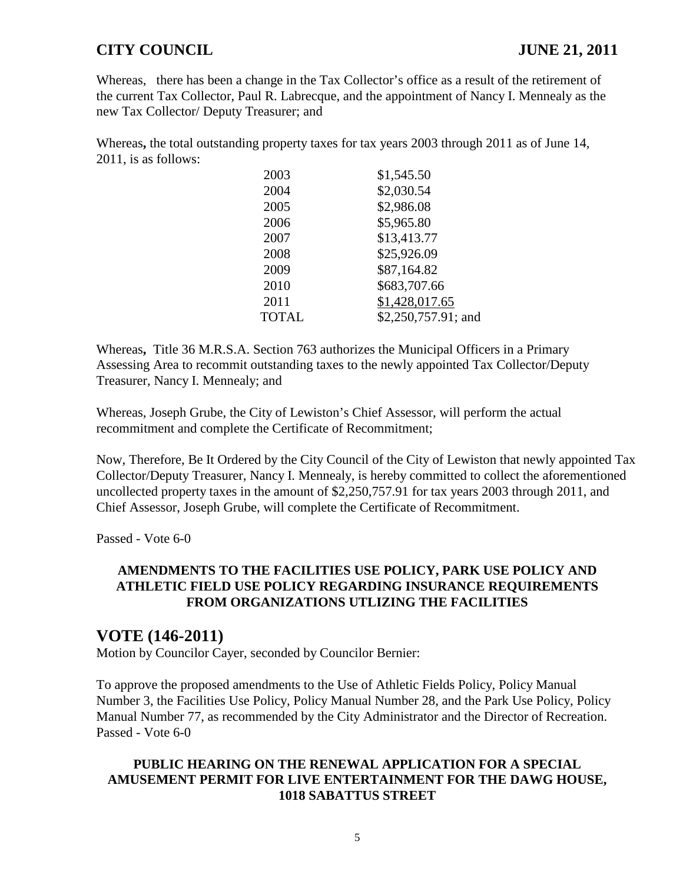Whereas,there has been a change in the Tax Collector's office as a result of the retirement of the current Tax Collector, Paul R. Labrecque, and the appointment of Nancy I. Mennealy as the new Tax Collector/ Deputy Treasurer; and

Whereas**,** the total outstanding property taxes for tax years 2003 through 2011 as of June 14, 2011, is as follows:

| 2003         | \$1,545.50          |
|--------------|---------------------|
| 2004         | \$2,030.54          |
| 2005         | \$2,986.08          |
| 2006         | \$5,965.80          |
| 2007         | \$13,413.77         |
| 2008         | \$25,926.09         |
| 2009         | \$87,164.82         |
| 2010         | \$683,707.66        |
| 2011         | \$1,428,017.65      |
| <b>TOTAL</b> | \$2,250,757.91; and |
|              |                     |

Whereas**,** Title 36 M.R.S.A. Section 763 authorizes the Municipal Officers in a Primary Assessing Area to recommit outstanding taxes to the newly appointed Tax Collector/Deputy Treasurer, Nancy I. Mennealy; and

Whereas, Joseph Grube, the City of Lewiston's Chief Assessor, will perform the actual recommitment and complete the Certificate of Recommitment;

Now, Therefore, Be It Ordered by the City Council of the City of Lewiston that newly appointed Tax Collector/Deputy Treasurer, Nancy I. Mennealy, is hereby committed to collect the aforementioned uncollected property taxes in the amount of \$2,250,757.91 for tax years 2003 through 2011, and Chief Assessor, Joseph Grube, will complete the Certificate of Recommitment.

Passed - Vote 6-0

#### **AMENDMENTS TO THE FACILITIES USE POLICY, PARK USE POLICY AND ATHLETIC FIELD USE POLICY REGARDING INSURANCE REQUIREMENTS FROM ORGANIZATIONS UTLIZING THE FACILITIES**

### **VOTE (146-2011)**

Motion by Councilor Cayer, seconded by Councilor Bernier:

To approve the proposed amendments to the Use of Athletic Fields Policy, Policy Manual Number 3, the Facilities Use Policy, Policy Manual Number 28, and the Park Use Policy, Policy Manual Number 77, as recommended by the City Administrator and the Director of Recreation. Passed - Vote 6-0

#### **PUBLIC HEARING ON THE RENEWAL APPLICATION FOR A SPECIAL AMUSEMENT PERMIT FOR LIVE ENTERTAINMENT FOR THE DAWG HOUSE, 1018 SABATTUS STREET**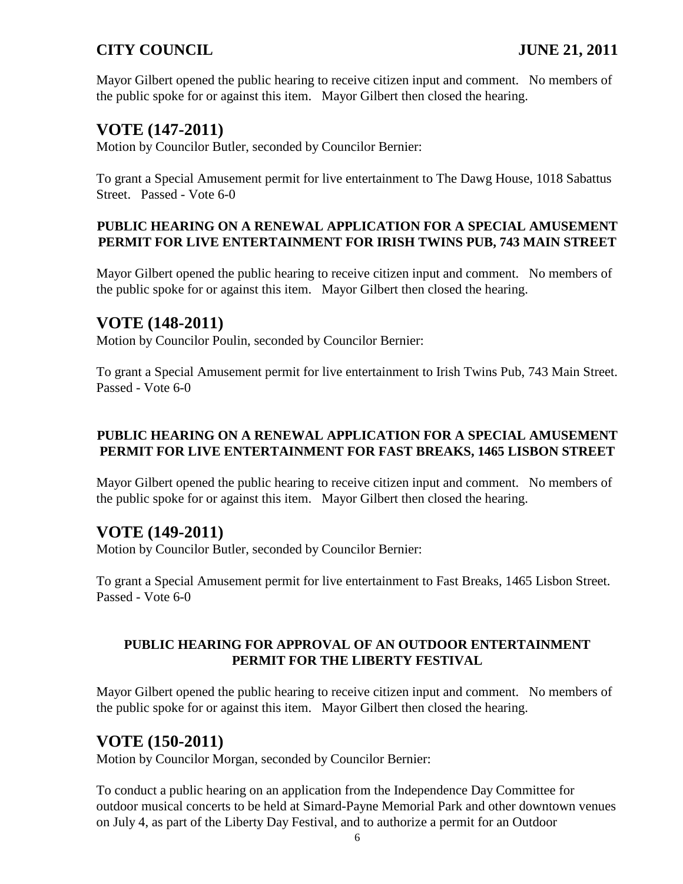Mayor Gilbert opened the public hearing to receive citizen input and comment. No members of the public spoke for or against this item. Mayor Gilbert then closed the hearing.

# **VOTE (147-2011)**

Motion by Councilor Butler, seconded by Councilor Bernier:

To grant a Special Amusement permit for live entertainment to The Dawg House, 1018 Sabattus Street. Passed - Vote 6-0

#### **PUBLIC HEARING ON A RENEWAL APPLICATION FOR A SPECIAL AMUSEMENT PERMIT FOR LIVE ENTERTAINMENT FOR IRISH TWINS PUB, 743 MAIN STREET**

Mayor Gilbert opened the public hearing to receive citizen input and comment. No members of the public spoke for or against this item. Mayor Gilbert then closed the hearing.

# **VOTE (148-2011)**

Motion by Councilor Poulin, seconded by Councilor Bernier:

To grant a Special Amusement permit for live entertainment to Irish Twins Pub, 743 Main Street. Passed - Vote 6-0

#### **PUBLIC HEARING ON A RENEWAL APPLICATION FOR A SPECIAL AMUSEMENT PERMIT FOR LIVE ENTERTAINMENT FOR FAST BREAKS, 1465 LISBON STREET**

Mayor Gilbert opened the public hearing to receive citizen input and comment. No members of the public spoke for or against this item. Mayor Gilbert then closed the hearing.

# **VOTE (149-2011)**

Motion by Councilor Butler, seconded by Councilor Bernier:

To grant a Special Amusement permit for live entertainment to Fast Breaks, 1465 Lisbon Street. Passed - Vote 6-0

#### **PUBLIC HEARING FOR APPROVAL OF AN OUTDOOR ENTERTAINMENT PERMIT FOR THE LIBERTY FESTIVAL**

Mayor Gilbert opened the public hearing to receive citizen input and comment. No members of the public spoke for or against this item. Mayor Gilbert then closed the hearing.

# **VOTE (150-2011)**

Motion by Councilor Morgan, seconded by Councilor Bernier:

To conduct a public hearing on an application from the Independence Day Committee for outdoor musical concerts to be held at Simard-Payne Memorial Park and other downtown venues on July 4, as part of the Liberty Day Festival, and to authorize a permit for an Outdoor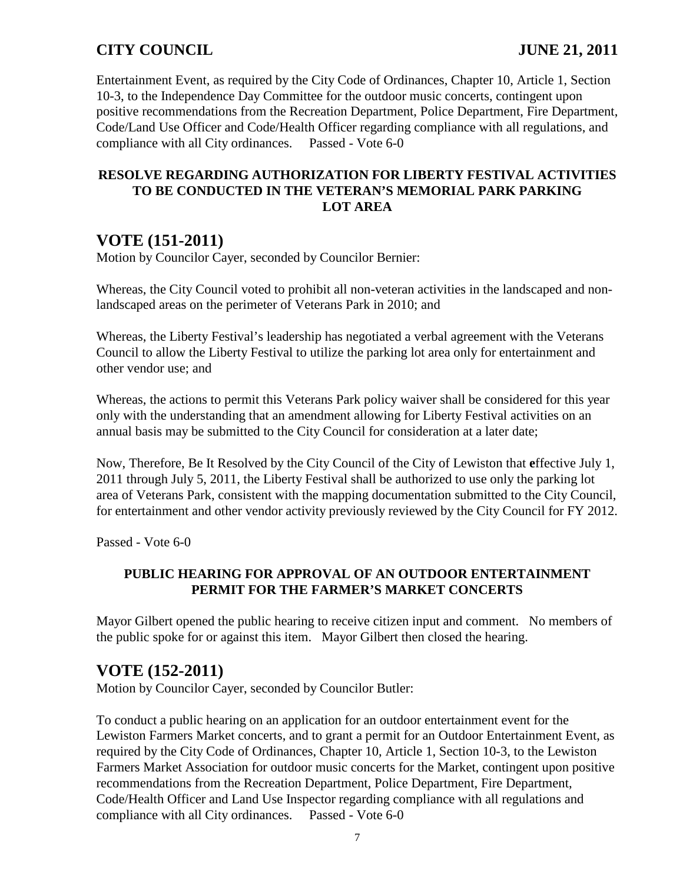Entertainment Event, as required by the City Code of Ordinances, Chapter 10, Article 1, Section 10-3, to the Independence Day Committee for the outdoor music concerts, contingent upon positive recommendations from the Recreation Department, Police Department, Fire Department, Code/Land Use Officer and Code/Health Officer regarding compliance with all regulations, and compliance with all City ordinances.

#### **RESOLVE REGARDING AUTHORIZATION FOR LIBERTY FESTIVAL ACTIVITIES TO BE CONDUCTED IN THE VETERAN'S MEMORIAL PARK PARKING LOT AREA**

## **VOTE (151-2011)**

Motion by Councilor Cayer, seconded by Councilor Bernier:

Whereas, the City Council voted to prohibit all non-veteran activities in the landscaped and nonlandscaped areas on the perimeter of Veterans Park in 2010; and

Whereas, the Liberty Festival's leadership has negotiated a verbal agreement with the Veterans Council to allow the Liberty Festival to utilize the parking lot area only for entertainment and other vendor use; and

Whereas, the actions to permit this Veterans Park policy waiver shall be considered for this year only with the understanding that an amendment allowing for Liberty Festival activities on an annual basis may be submitted to the City Council for consideration at a later date;

Now, Therefore, Be It Resolved by the City Council of the City of Lewiston that **e**ffective July 1, 2011 through July 5, 2011, the Liberty Festival shall be authorized to use only the parking lot area of Veterans Park, consistent with the mapping documentation submitted to the City Council, for entertainment and other vendor activity previously reviewed by the City Council for FY 2012.

Passed - Vote 6-0

#### **PUBLIC HEARING FOR APPROVAL OF AN OUTDOOR ENTERTAINMENT PERMIT FOR THE FARMER'S MARKET CONCERTS**

Mayor Gilbert opened the public hearing to receive citizen input and comment. No members of the public spoke for or against this item. Mayor Gilbert then closed the hearing.

# **VOTE (152-2011)**

Motion by Councilor Cayer, seconded by Councilor Butler:

To conduct a public hearing on an application for an outdoor entertainment event for the Lewiston Farmers Market concerts, and to grant a permit for an Outdoor Entertainment Event, as required by the City Code of Ordinances, Chapter 10, Article 1, Section 10-3, to the Lewiston Farmers Market Association for outdoor music concerts for the Market, contingent upon positive recommendations from the Recreation Department, Police Department, Fire Department, Code/Health Officer and Land Use Inspector regarding compliance with all regulations and compliance with all City ordinances. Passed - Vote 6-0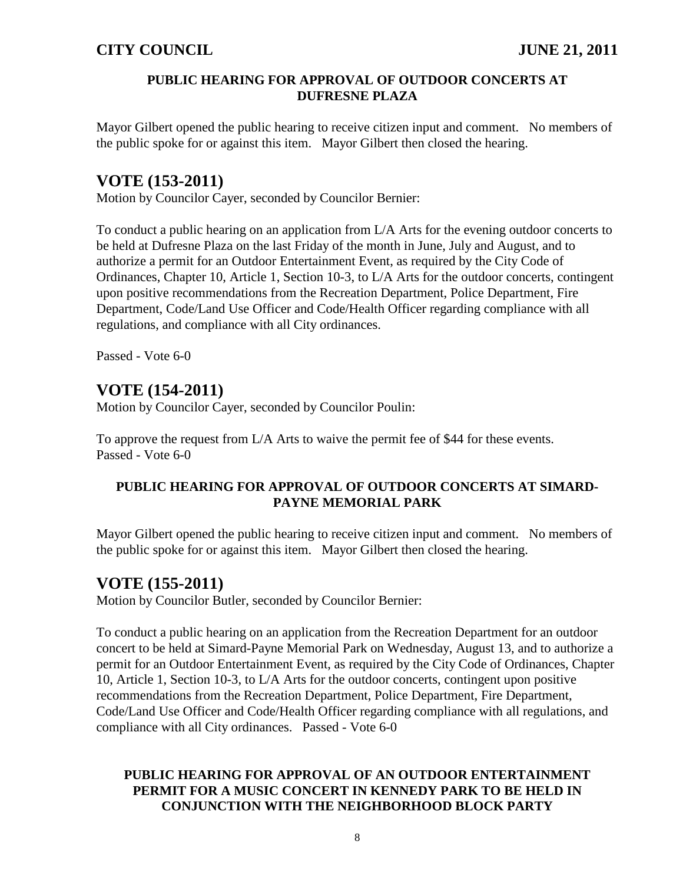#### **PUBLIC HEARING FOR APPROVAL OF OUTDOOR CONCERTS AT DUFRESNE PLAZA**

Mayor Gilbert opened the public hearing to receive citizen input and comment. No members of the public spoke for or against this item. Mayor Gilbert then closed the hearing.

# **VOTE (153-2011)**

Motion by Councilor Cayer, seconded by Councilor Bernier:

To conduct a public hearing on an application from L/A Arts for the evening outdoor concerts to be held at Dufresne Plaza on the last Friday of the month in June, July and August, and to authorize a permit for an Outdoor Entertainment Event, as required by the City Code of Ordinances, Chapter 10, Article 1, Section 10-3, to L/A Arts for the outdoor concerts, contingent upon positive recommendations from the Recreation Department, Police Department, Fire Department, Code/Land Use Officer and Code/Health Officer regarding compliance with all regulations, and compliance with all City ordinances.

Passed - Vote 6-0

# **VOTE (154-2011)**

Motion by Councilor Cayer, seconded by Councilor Poulin:

To approve the request from L/A Arts to waive the permit fee of \$44 for these events. Passed - Vote 6-0

#### **PUBLIC HEARING FOR APPROVAL OF OUTDOOR CONCERTS AT SIMARD-PAYNE MEMORIAL PARK**

Mayor Gilbert opened the public hearing to receive citizen input and comment. No members of the public spoke for or against this item. Mayor Gilbert then closed the hearing.

# **VOTE (155-2011)**

Motion by Councilor Butler, seconded by Councilor Bernier:

To conduct a public hearing on an application from the Recreation Department for an outdoor concert to be held at Simard-Payne Memorial Park on Wednesday, August 13, and to authorize a permit for an Outdoor Entertainment Event, as required by the City Code of Ordinances, Chapter 10, Article 1, Section 10-3, to L/A Arts for the outdoor concerts, contingent upon positive recommendations from the Recreation Department, Police Department, Fire Department, Code/Land Use Officer and Code/Health Officer regarding compliance with all regulations, and compliance with all City ordinances. Passed - Vote 6-0

#### **PUBLIC HEARING FOR APPROVAL OF AN OUTDOOR ENTERTAINMENT PERMIT FOR A MUSIC CONCERT IN KENNEDY PARK TO BE HELD IN CONJUNCTION WITH THE NEIGHBORHOOD BLOCK PARTY**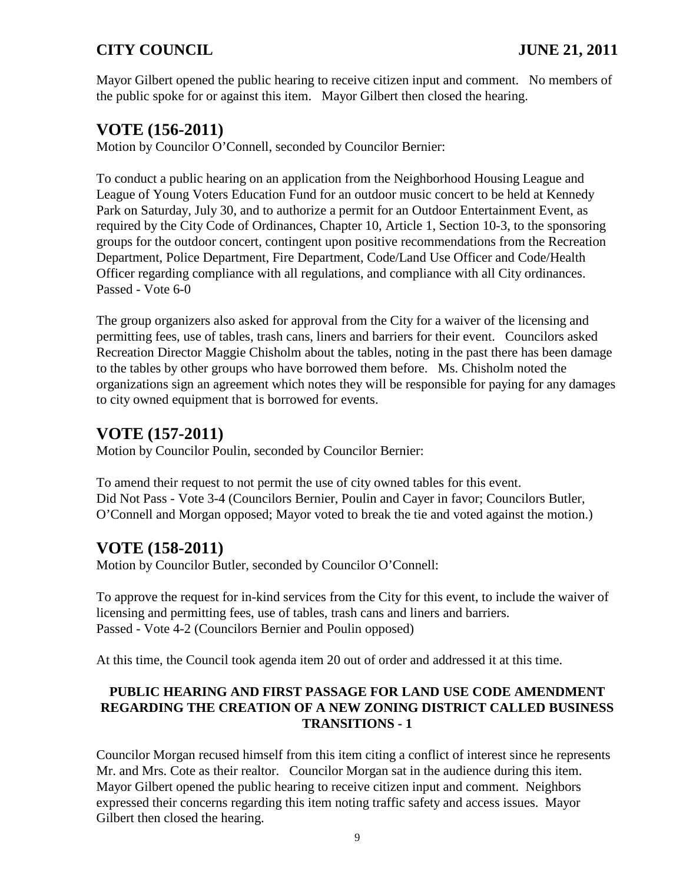Mayor Gilbert opened the public hearing to receive citizen input and comment. No members of the public spoke for or against this item. Mayor Gilbert then closed the hearing.

# **VOTE (156-2011)**

Motion by Councilor O'Connell, seconded by Councilor Bernier:

To conduct a public hearing on an application from the Neighborhood Housing League and League of Young Voters Education Fund for an outdoor music concert to be held at Kennedy Park on Saturday, July 30, and to authorize a permit for an Outdoor Entertainment Event, as required by the City Code of Ordinances, Chapter 10, Article 1, Section 10-3, to the sponsoring groups for the outdoor concert, contingent upon positive recommendations from the Recreation Department, Police Department, Fire Department, Code/Land Use Officer and Code/Health Officer regarding compliance with all regulations, and compliance with all City ordinances. Passed - Vote 6-0

The group organizers also asked for approval from the City for a waiver of the licensing and permitting fees, use of tables, trash cans, liners and barriers for their event. Councilors asked Recreation Director Maggie Chisholm about the tables, noting in the past there has been damage to the tables by other groups who have borrowed them before. Ms. Chisholm noted the organizations sign an agreement which notes they will be responsible for paying for any damages to city owned equipment that is borrowed for events.

# **VOTE (157-2011)**

Motion by Councilor Poulin, seconded by Councilor Bernier:

To amend their request to not permit the use of city owned tables for this event. Did Not Pass - Vote 3-4 (Councilors Bernier, Poulin and Cayer in favor; Councilors Butler, O'Connell and Morgan opposed; Mayor voted to break the tie and voted against the motion.)

# **VOTE (158-2011)**

Motion by Councilor Butler, seconded by Councilor O'Connell:

To approve the request for in-kind services from the City for this event, to include the waiver of licensing and permitting fees, use of tables, trash cans and liners and barriers. Passed - Vote 4-2 (Councilors Bernier and Poulin opposed)

At this time, the Council took agenda item 20 out of order and addressed it at this time.

#### **PUBLIC HEARING AND FIRST PASSAGE FOR LAND USE CODE AMENDMENT REGARDING THE CREATION OF A NEW ZONING DISTRICT CALLED BUSINESS TRANSITIONS - 1**

Councilor Morgan recused himself from this item citing a conflict of interest since he represents Mr. and Mrs. Cote as their realtor. Councilor Morgan sat in the audience during this item. Mayor Gilbert opened the public hearing to receive citizen input and comment. Neighbors expressed their concerns regarding this item noting traffic safety and access issues. Mayor Gilbert then closed the hearing.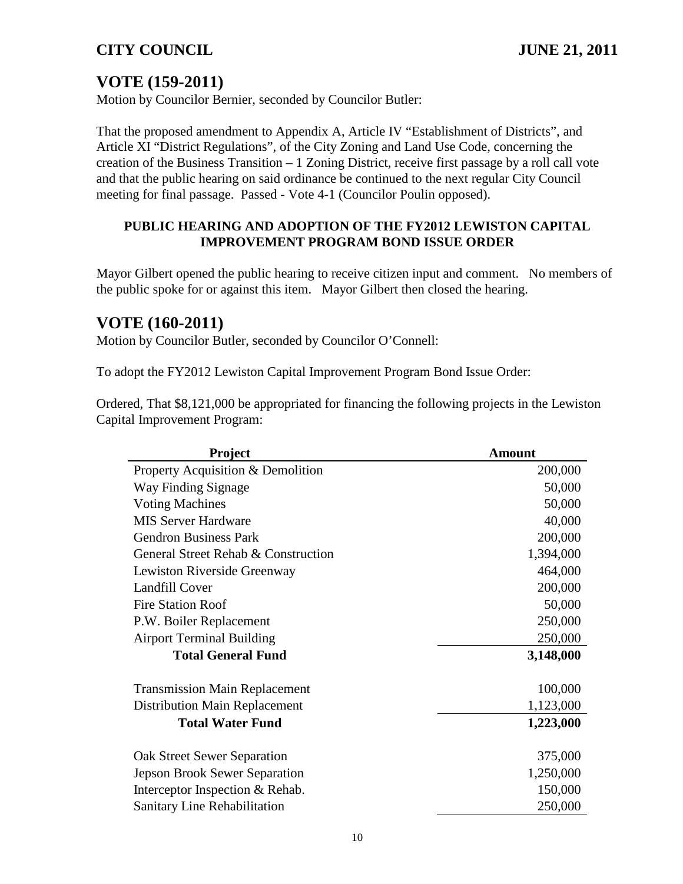# **VOTE (159-2011)**

Motion by Councilor Bernier, seconded by Councilor Butler:

That the proposed amendment to Appendix A, Article IV "Establishment of Districts", and Article XI "District Regulations", of the City Zoning and Land Use Code, concerning the creation of the Business Transition – 1 Zoning District, receive first passage by a roll call vote and that the public hearing on said ordinance be continued to the next regular City Council meeting for final passage. Passed - Vote 4-1 (Councilor Poulin opposed).

#### **PUBLIC HEARING AND ADOPTION OF THE FY2012 LEWISTON CAPITAL IMPROVEMENT PROGRAM BOND ISSUE ORDER**

Mayor Gilbert opened the public hearing to receive citizen input and comment. No members of the public spoke for or against this item. Mayor Gilbert then closed the hearing.

## **VOTE (160-2011)**

Motion by Councilor Butler, seconded by Councilor O'Connell:

To adopt the FY2012 Lewiston Capital Improvement Program Bond Issue Order:

Ordered, That \$8,121,000 be appropriated for financing the following projects in the Lewiston Capital Improvement Program:

| <b>Project</b>                       | <b>Amount</b> |
|--------------------------------------|---------------|
| Property Acquisition & Demolition    | 200,000       |
| Way Finding Signage                  | 50,000        |
| <b>Voting Machines</b>               | 50,000        |
| <b>MIS Server Hardware</b>           | 40,000        |
| <b>Gendron Business Park</b>         | 200,000       |
| General Street Rehab & Construction  | 1,394,000     |
| Lewiston Riverside Greenway          | 464,000       |
| <b>Landfill Cover</b>                | 200,000       |
| <b>Fire Station Roof</b>             | 50,000        |
| P.W. Boiler Replacement              | 250,000       |
| <b>Airport Terminal Building</b>     | 250,000       |
| <b>Total General Fund</b>            | 3,148,000     |
| <b>Transmission Main Replacement</b> | 100,000       |
| Distribution Main Replacement        | 1,123,000     |
| <b>Total Water Fund</b>              | 1,223,000     |
| Oak Street Sewer Separation          | 375,000       |
| <b>Jepson Brook Sewer Separation</b> | 1,250,000     |
| Interceptor Inspection & Rehab.      | 150,000       |
| Sanitary Line Rehabilitation         | 250,000       |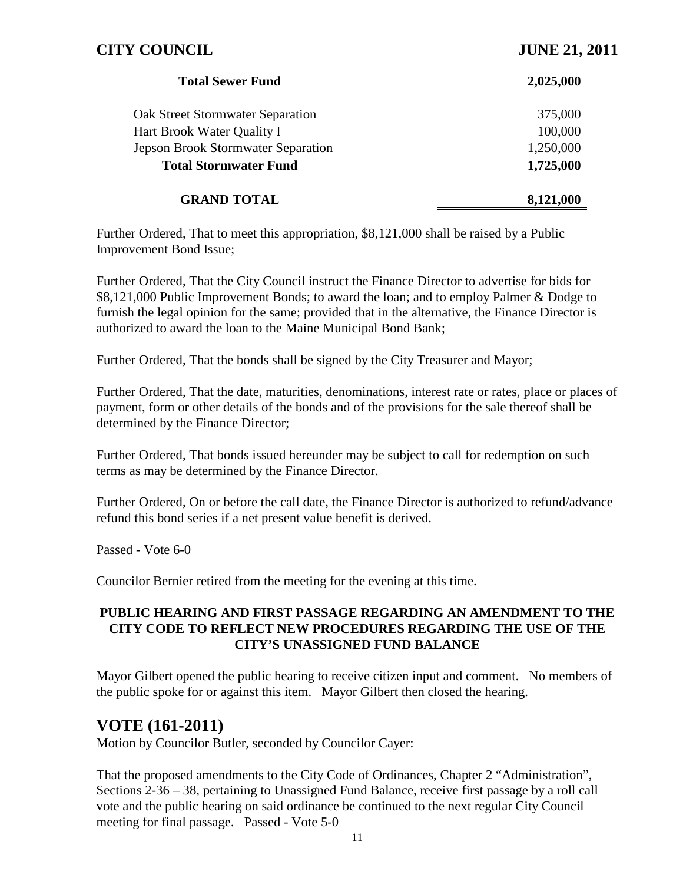| <b>Total Sewer Fund</b>                   | 2,025,000 |
|-------------------------------------------|-----------|
| <b>Oak Street Stormwater Separation</b>   | 375,000   |
| Hart Brook Water Quality I                | 100,000   |
| <b>Jepson Brook Stormwater Separation</b> | 1,250,000 |
| <b>Total Stormwater Fund</b>              | 1,725,000 |
| <b>GRAND TOTAL</b>                        | 8,121,000 |

Further Ordered, That to meet this appropriation, \$8,121,000 shall be raised by a Public Improvement Bond Issue;

Further Ordered, That the City Council instruct the Finance Director to advertise for bids for \$8,121,000 Public Improvement Bonds; to award the loan; and to employ Palmer & Dodge to furnish the legal opinion for the same; provided that in the alternative, the Finance Director is authorized to award the loan to the Maine Municipal Bond Bank;

Further Ordered, That the bonds shall be signed by the City Treasurer and Mayor;

Further Ordered, That the date, maturities, denominations, interest rate or rates, place or places of payment, form or other details of the bonds and of the provisions for the sale thereof shall be determined by the Finance Director;

Further Ordered, That bonds issued hereunder may be subject to call for redemption on such terms as may be determined by the Finance Director.

Further Ordered, On or before the call date, the Finance Director is authorized to refund/advance refund this bond series if a net present value benefit is derived.

Passed - Vote 6-0

Councilor Bernier retired from the meeting for the evening at this time.

#### **PUBLIC HEARING AND FIRST PASSAGE REGARDING AN AMENDMENT TO THE CITY CODE TO REFLECT NEW PROCEDURES REGARDING THE USE OF THE CITY'S UNASSIGNED FUND BALANCE**

Mayor Gilbert opened the public hearing to receive citizen input and comment. No members of the public spoke for or against this item. Mayor Gilbert then closed the hearing.

### **VOTE (161-2011)**

Motion by Councilor Butler, seconded by Councilor Cayer:

That the proposed amendments to the City Code of Ordinances, Chapter 2 "Administration", Sections 2-36 – 38, pertaining to Unassigned Fund Balance, receive first passage by a roll call vote and the public hearing on said ordinance be continued to the next regular City Council meeting for final passage. Passed - Vote 5-0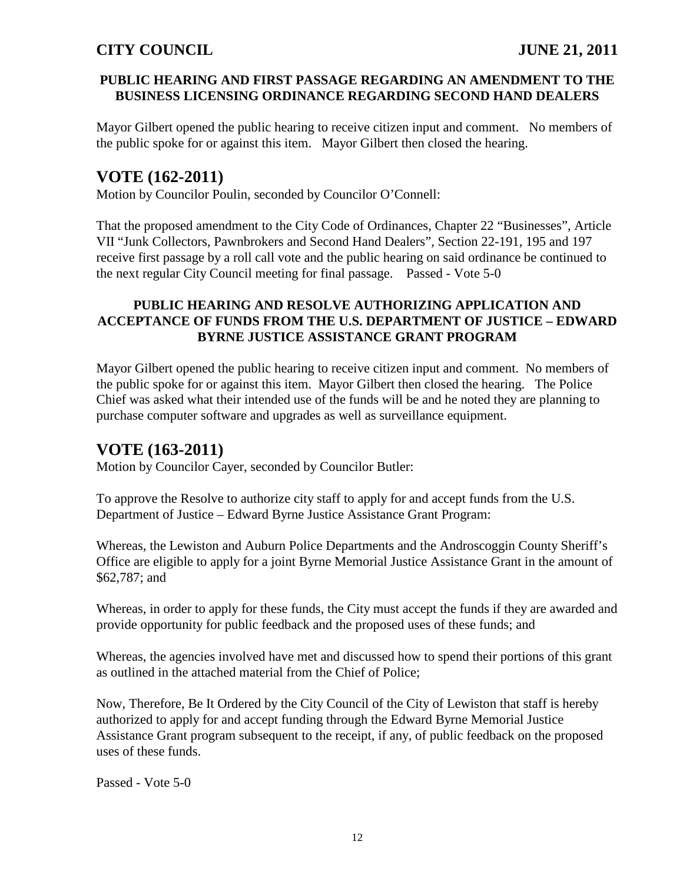#### **PUBLIC HEARING AND FIRST PASSAGE REGARDING AN AMENDMENT TO THE BUSINESS LICENSING ORDINANCE REGARDING SECOND HAND DEALERS**

Mayor Gilbert opened the public hearing to receive citizen input and comment. No members of the public spoke for or against this item. Mayor Gilbert then closed the hearing.

# **VOTE (162-2011)**

Motion by Councilor Poulin, seconded by Councilor O'Connell:

That the proposed amendment to the City Code of Ordinances, Chapter 22 "Businesses", Article VII "Junk Collectors, Pawnbrokers and Second Hand Dealers", Section 22-191, 195 and 197 receive first passage by a roll call vote and the public hearing on said ordinance be continued to the next regular City Council meeting for final passage. Passed - Vote 5-0

#### **PUBLIC HEARING AND RESOLVE AUTHORIZING APPLICATION AND ACCEPTANCE OF FUNDS FROM THE U.S. DEPARTMENT OF JUSTICE – EDWARD BYRNE JUSTICE ASSISTANCE GRANT PROGRAM**

Mayor Gilbert opened the public hearing to receive citizen input and comment. No members of the public spoke for or against this item. Mayor Gilbert then closed the hearing. The Police Chief was asked what their intended use of the funds will be and he noted they are planning to purchase computer software and upgrades as well as surveillance equipment.

# **VOTE (163-2011)**

Motion by Councilor Cayer, seconded by Councilor Butler:

To approve the Resolve to authorize city staff to apply for and accept funds from the U.S. Department of Justice – Edward Byrne Justice Assistance Grant Program:

Whereas, the Lewiston and Auburn Police Departments and the Androscoggin County Sheriff's Office are eligible to apply for a joint Byrne Memorial Justice Assistance Grant in the amount of \$62,787; and

Whereas, in order to apply for these funds, the City must accept the funds if they are awarded and provide opportunity for public feedback and the proposed uses of these funds; and

Whereas, the agencies involved have met and discussed how to spend their portions of this grant as outlined in the attached material from the Chief of Police;

Now, Therefore, Be It Ordered by the City Council of the City of Lewiston that staff is hereby authorized to apply for and accept funding through the Edward Byrne Memorial Justice Assistance Grant program subsequent to the receipt, if any, of public feedback on the proposed uses of these funds.

Passed - Vote 5-0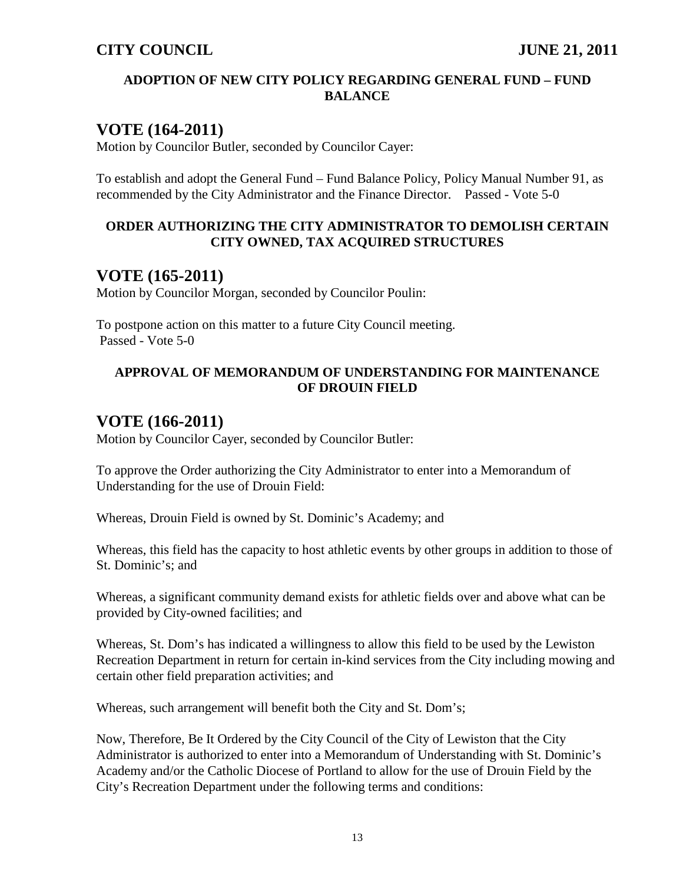#### **ADOPTION OF NEW CITY POLICY REGARDING GENERAL FUND – FUND BALANCE**

## **VOTE (164-2011)**

Motion by Councilor Butler, seconded by Councilor Cayer:

To establish and adopt the General Fund – Fund Balance Policy, Policy Manual Number 91, as recommended by the City Administrator and the Finance Director. Passed - Vote 5-0

#### **ORDER AUTHORIZING THE CITY ADMINISTRATOR TO DEMOLISH CERTAIN CITY OWNED, TAX ACQUIRED STRUCTURES**

### **VOTE (165-2011)**

Motion by Councilor Morgan, seconded by Councilor Poulin:

To postpone action on this matter to a future City Council meeting. Passed - Vote 5-0

#### **APPROVAL OF MEMORANDUM OF UNDERSTANDING FOR MAINTENANCE OF DROUIN FIELD**

## **VOTE (166-2011)**

Motion by Councilor Cayer, seconded by Councilor Butler:

To approve the Order authorizing the City Administrator to enter into a Memorandum of Understanding for the use of Drouin Field:

Whereas, Drouin Field is owned by St. Dominic's Academy; and

Whereas, this field has the capacity to host athletic events by other groups in addition to those of St. Dominic's; and

Whereas, a significant community demand exists for athletic fields over and above what can be provided by City-owned facilities; and

Whereas, St. Dom's has indicated a willingness to allow this field to be used by the Lewiston Recreation Department in return for certain in-kind services from the City including mowing and certain other field preparation activities; and

Whereas, such arrangement will benefit both the City and St. Dom's;

Now, Therefore, Be It Ordered by the City Council of the City of Lewiston that the City Administrator is authorized to enter into a Memorandum of Understanding with St. Dominic's Academy and/or the Catholic Diocese of Portland to allow for the use of Drouin Field by the City's Recreation Department under the following terms and conditions: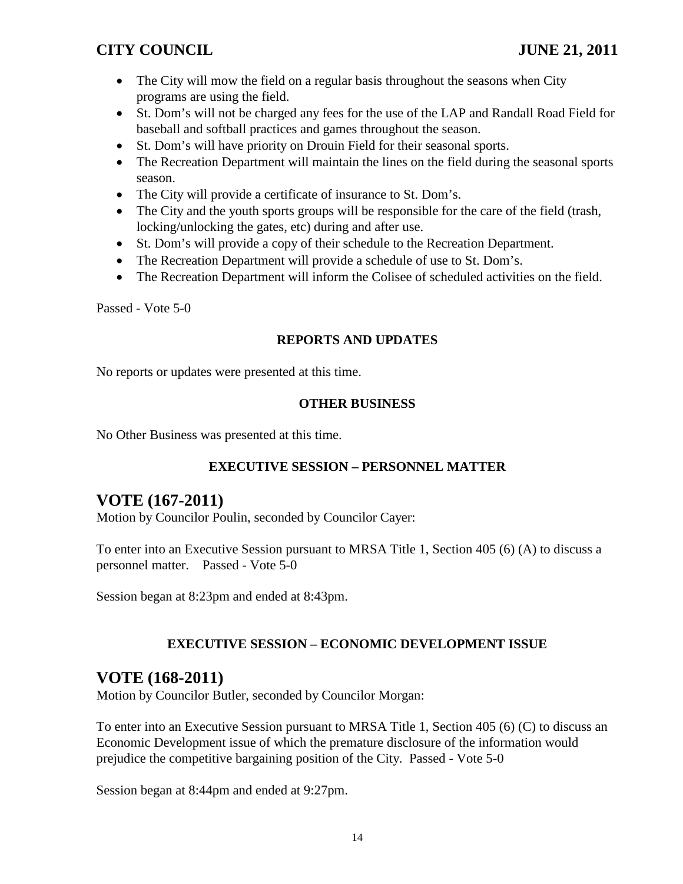- The City will mow the field on a regular basis throughout the seasons when City programs are using the field.
- St. Dom's will not be charged any fees for the use of the LAP and Randall Road Field for baseball and softball practices and games throughout the season.
- St. Dom's will have priority on Drouin Field for their seasonal sports.
- The Recreation Department will maintain the lines on the field during the seasonal sports season.
- The City will provide a certificate of insurance to St. Dom's.
- The City and the youth sports groups will be responsible for the care of the field (trash, locking/unlocking the gates, etc) during and after use.
- St. Dom's will provide a copy of their schedule to the Recreation Department.
- The Recreation Department will provide a schedule of use to St. Dom's.
- The Recreation Department will inform the Colisee of scheduled activities on the field.

Passed - Vote 5-0

#### **REPORTS AND UPDATES**

No reports or updates were presented at this time.

#### **OTHER BUSINESS**

No Other Business was presented at this time.

#### **EXECUTIVE SESSION – PERSONNEL MATTER**

# **VOTE (167-2011)**

Motion by Councilor Poulin, seconded by Councilor Cayer:

To enter into an Executive Session pursuant to MRSA Title 1, Section 405 (6) (A) to discuss a personnel matter. Passed - Vote 5-0

Session began at 8:23pm and ended at 8:43pm.

#### **EXECUTIVE SESSION – ECONOMIC DEVELOPMENT ISSUE**

### **VOTE (168-2011)**

Motion by Councilor Butler, seconded by Councilor Morgan:

To enter into an Executive Session pursuant to MRSA Title 1, Section 405 (6) (C) to discuss an Economic Development issue of which the premature disclosure of the information would prejudice the competitive bargaining position of the City. Passed - Vote 5-0

Session began at 8:44pm and ended at 9:27pm.